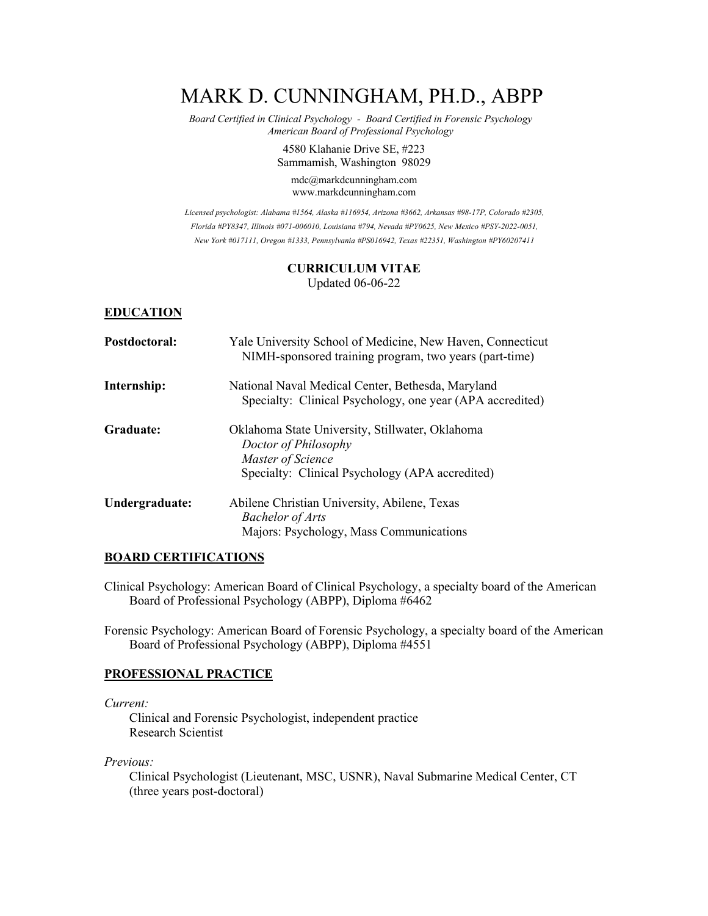# MARK D. CUNNINGHAM, PH.D., ABPP

 *Board Certified in Clinical Psychology - Board Certified in Forensic Psychology American Board of Professional Psychology*

> 4580 Klahanie Drive SE, #223 Sammamish, Washington 98029

mdc@markdcunningham.com www.markdcunningham.com

*Licensed psychologist: Alabama #1564, Alaska #116954, Arizona #3662, Arkansas #98-17P, Colorado #2305, Florida #PY8347, Illinois #071-006010, Louisiana #794, Nevada #PY0625, New Mexico #PSY-2022-0051, New York #017111, Oregon #1333, Pennsylvania #PS016942, Texas #22351, Washington #PY60207411*

#### **CURRICULUM VITAE** Updated 06-06-22

#### **EDUCATION**

| Postdoctoral:  | Yale University School of Medicine, New Haven, Connecticut<br>NIMH-sponsored training program, two years (part-time)                            |
|----------------|-------------------------------------------------------------------------------------------------------------------------------------------------|
| Internship:    | National Naval Medical Center, Bethesda, Maryland<br>Specialty: Clinical Psychology, one year (APA accredited)                                  |
| Graduate:      | Oklahoma State University, Stillwater, Oklahoma<br>Doctor of Philosophy<br>Master of Science<br>Specialty: Clinical Psychology (APA accredited) |
| Undergraduate: | Abilene Christian University, Abilene, Texas<br><b>Bachelor of Arts</b><br>Majors: Psychology, Mass Communications                              |

#### **BOARD CERTIFICATIONS**

Clinical Psychology: American Board of Clinical Psychology, a specialty board of the American Board of Professional Psychology (ABPP), Diploma #6462

Forensic Psychology: American Board of Forensic Psychology, a specialty board of the American Board of Professional Psychology (ABPP), Diploma #4551

#### **PROFESSIONAL PRACTICE**

*Current:*

Clinical and Forensic Psychologist, independent practice Research Scientist

*Previous:* 

Clinical Psychologist (Lieutenant, MSC, USNR), Naval Submarine Medical Center, CT (three years post-doctoral)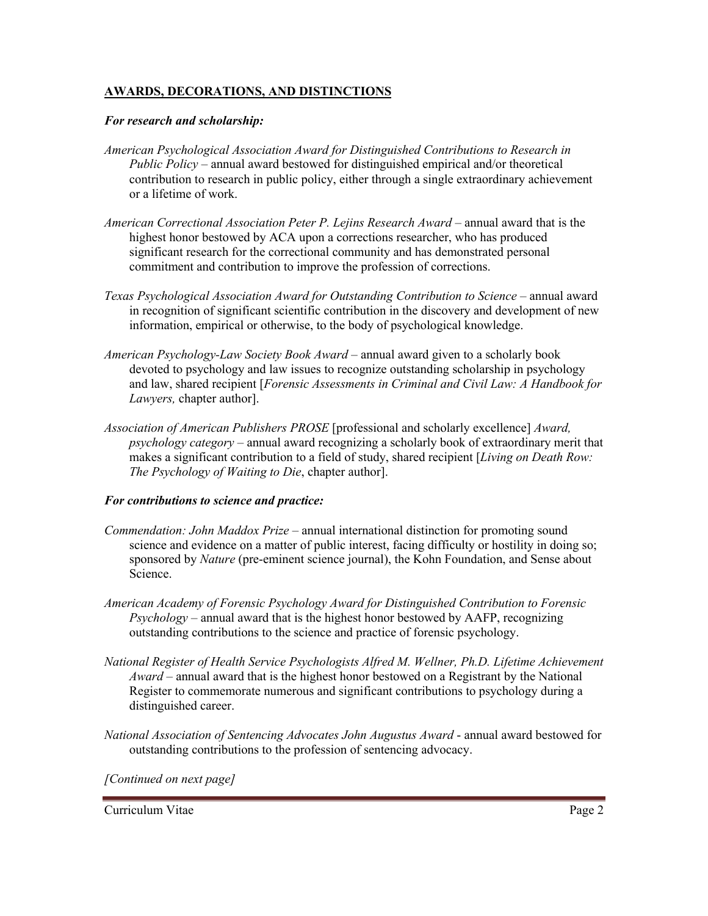# **AWARDS, DECORATIONS, AND DISTINCTIONS**

#### *For research and scholarship:*

- *American Psychological Association Award for Distinguished Contributions to Research in Public Policy* – annual award bestowed for distinguished empirical and/or theoretical contribution to research in public policy, either through a single extraordinary achievement or a lifetime of work.
- *American Correctional Association Peter P. Lejins Research Award*  annual award that is the highest honor bestowed by ACA upon a corrections researcher, who has produced significant research for the correctional community and has demonstrated personal commitment and contribution to improve the profession of corrections.
- *Texas Psychological Association Award for Outstanding Contribution to Science annual award* in recognition of significant scientific contribution in the discovery and development of new information, empirical or otherwise, to the body of psychological knowledge.
- *American Psychology-Law Society Book Award*  annual award given to a scholarly book devoted to psychology and law issues to recognize outstanding scholarship in psychology and law, shared recipient [*Forensic Assessments in Criminal and Civil Law: A Handbook for Lawyers,* chapter author].
- *Association of American Publishers PROSE* [professional and scholarly excellence] *Award, psychology category –* annual award recognizing a scholarly book of extraordinary merit that makes a significant contribution to a field of study, shared recipient [*Living on Death Row: The Psychology of Waiting to Die*, chapter author].

#### *For contributions to science and practice:*

- *Commendation: John Maddox Prize –* annual international distinction for promoting sound science and evidence on a matter of public interest, facing difficulty or hostility in doing so; sponsored by *Nature* (pre-eminent science journal), the Kohn Foundation, and Sense about Science.
- *American Academy of Forensic Psychology Award for Distinguished Contribution to Forensic Psychology* – annual award that is the highest honor bestowed by AAFP, recognizing outstanding contributions to the science and practice of forensic psychology.
- *National Register of Health Service Psychologists Alfred M. Wellner, Ph.D. Lifetime Achievement Award* – annual award that is the highest honor bestowed on a Registrant by the National Register to commemorate numerous and significant contributions to psychology during a distinguished career.
- *National Association of Sentencing Advocates John Augustus Award* annual award bestowed for outstanding contributions to the profession of sentencing advocacy.

*[Continued on next page]*

Curriculum Vitae Page 2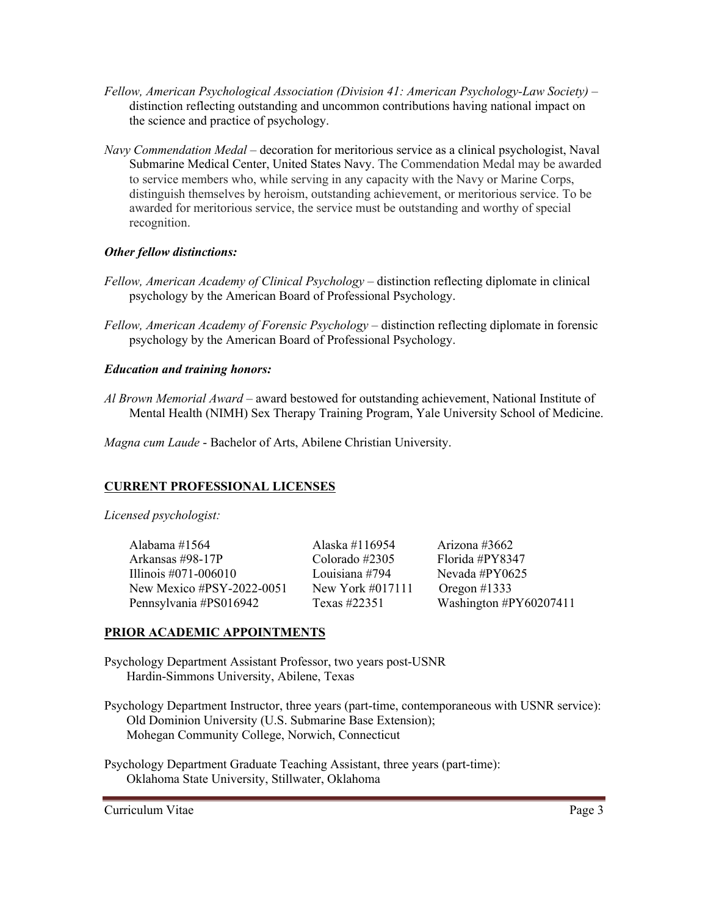- *Fellow, American Psychological Association (Division 41: American Psychology-Law Society)* distinction reflecting outstanding and uncommon contributions having national impact on the science and practice of psychology.
- *Navy Commendation Medal* decoration for meritorious service as a clinical psychologist, Naval Submarine Medical Center, United States Navy. The Commendation Medal may be awarded to service members who, while serving in any capacity with the Navy or Marine Corps, distinguish themselves by heroism, outstanding achievement, or meritorious service. To be awarded for meritorious service, the service must be outstanding and worthy of special recognition.

# *Other fellow distinctions:*

- *Fellow, American Academy of Clinical Psychology* distinction reflecting diplomate in clinical psychology by the American Board of Professional Psychology.
- *Fellow, American Academy of Forensic Psychology* distinction reflecting diplomate in forensic psychology by the American Board of Professional Psychology.

# *Education and training honors:*

*Al Brown Memorial Award* – award bestowed for outstanding achievement, National Institute of Mental Health (NIMH) Sex Therapy Training Program, Yale University School of Medicine.

*Magna cum Laude* - Bachelor of Arts, Abilene Christian University.

# **CURRENT PROFESSIONAL LICENSES**

*Licensed psychologist:*

| Alabama #1564             | Alaska #116954    | Arizona #3662          |
|---------------------------|-------------------|------------------------|
| Arkansas #98-17P          | Colorado $\#2305$ | Florida #PY8347        |
| Illinois #071-006010      | Louisiana #794    | Nevada #PY $0625$      |
| New Mexico #PSY-2022-0051 | New York #017111  | Oregon #1333           |
| Pennsylvania #PS016942    | Texas #22351      | Washington #PY60207411 |

# **PRIOR ACADEMIC APPOINTMENTS**

Psychology Department Assistant Professor, two years post-USNR Hardin-Simmons University, Abilene, Texas

Psychology Department Instructor, three years (part-time, contemporaneous with USNR service): Old Dominion University (U.S. Submarine Base Extension); Mohegan Community College, Norwich, Connecticut

Psychology Department Graduate Teaching Assistant, three years (part-time): Oklahoma State University, Stillwater, Oklahoma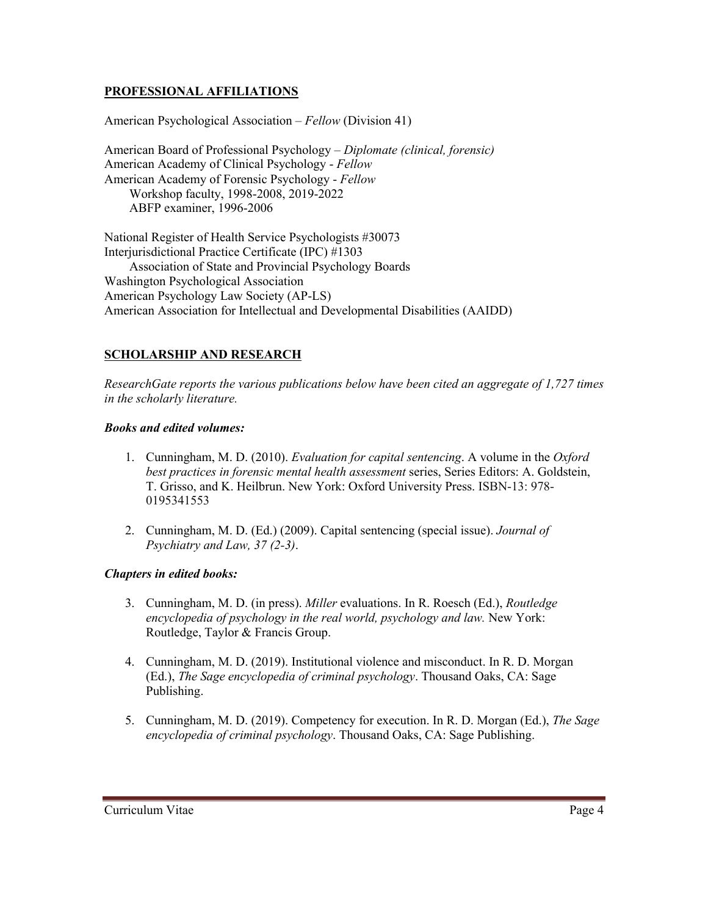# **PROFESSIONAL AFFILIATIONS**

American Psychological Association – *Fellow* (Division 41)

American Board of Professional Psychology – *Diplomate (clinical, forensic)* American Academy of Clinical Psychology - *Fellow* American Academy of Forensic Psychology - *Fellow* Workshop faculty, 1998-2008, 2019-2022 ABFP examiner, 1996-2006

National Register of Health Service Psychologists #30073 Interjurisdictional Practice Certificate (IPC) #1303 Association of State and Provincial Psychology Boards Washington Psychological Association American Psychology Law Society (AP-LS) American Association for Intellectual and Developmental Disabilities (AAIDD)

# **SCHOLARSHIP AND RESEARCH**

*ResearchGate reports the various publications below have been cited an aggregate of 1,727 times in the scholarly literature.* 

#### *Books and edited volumes:*

- 1. Cunningham, M. D. (2010). *Evaluation for capital sentencing*. A volume in the *Oxford best practices in forensic mental health assessment* series, Series Editors: A. Goldstein, T. Grisso, and K. Heilbrun. New York: Oxford University Press. ISBN-13: 978- 0195341553
- 2. Cunningham, M. D. (Ed.) (2009). Capital sentencing (special issue). *Journal of Psychiatry and Law, 37 (2-3)*.

#### *Chapters in edited books:*

- 3. Cunningham, M. D. (in press). *Miller* evaluations. In R. Roesch (Ed.), *Routledge encyclopedia of psychology in the real world, psychology and law.* New York: Routledge, Taylor & Francis Group.
- 4. Cunningham, M. D. (2019). Institutional violence and misconduct. In R. D. Morgan (Ed.), *The Sage encyclopedia of criminal psychology*. Thousand Oaks, CA: Sage Publishing.
- 5. Cunningham, M. D. (2019). Competency for execution. In R. D. Morgan (Ed.), *The Sage encyclopedia of criminal psychology*. Thousand Oaks, CA: Sage Publishing.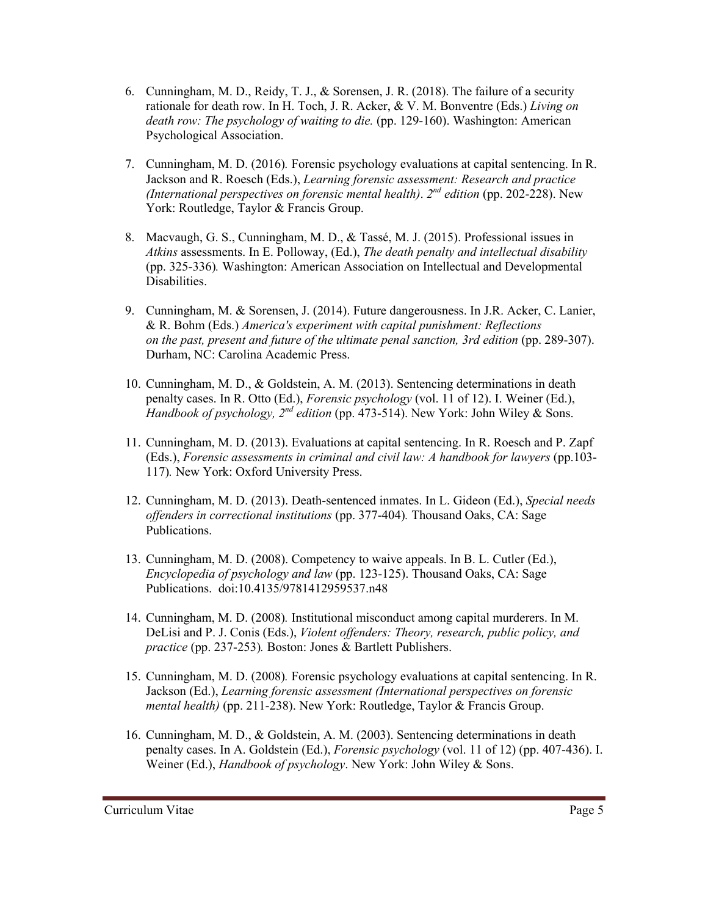- 6. Cunningham, M. D., Reidy, T. J., & Sorensen, J. R. (2018). The failure of a security rationale for death row. In H. Toch, J. R. Acker, & V. M. Bonventre (Eds.) *Living on death row: The psychology of waiting to die.* (pp. 129-160). Washington: American Psychological Association.
- 7. Cunningham, M. D. (2016)*.* Forensic psychology evaluations at capital sentencing. In R. Jackson and R. Roesch (Eds.), *Learning forensic assessment: Research and practice (International perspectives on forensic mental health)*. *2nd edition* (pp. 202-228). New York: Routledge, Taylor & Francis Group.
- 8. Macvaugh, G. S., Cunningham, M. D., & Tassé, M. J. (2015). Professional issues in *Atkins* assessments. In E. Polloway, (Ed.), *The death penalty and intellectual disability* (pp. 325-336)*.* Washington: American Association on Intellectual and Developmental Disabilities.
- 9. Cunningham, M. & Sorensen, J. (2014). Future dangerousness. In J.R. Acker, C. Lanier, & R. Bohm (Eds.) *America's experiment with capital punishment: Reflections on the past, present and future of the ultimate penal sanction, 3rd edition (pp. 289-307).* Durham, NC: Carolina Academic Press.
- 10. Cunningham, M. D., & Goldstein, A. M. (2013). Sentencing determinations in death penalty cases. In R. Otto (Ed.), *Forensic psychology* (vol. 11 of 12). I. Weiner (Ed.), *Handbook of psychology, 2<sup>nd</sup> edition* (pp. 473-514). New York: John Wiley & Sons.
- 11. Cunningham, M. D. (2013). Evaluations at capital sentencing. In R. Roesch and P. Zapf (Eds.), *Forensic assessments in criminal and civil law: A handbook for lawyers* (pp.103- 117)*.* New York: Oxford University Press.
- 12. Cunningham, M. D. (2013). Death-sentenced inmates. In L. Gideon (Ed.), *Special needs offenders in correctional institutions* (pp. 377-404)*.* Thousand Oaks, CA: Sage Publications.
- 13. Cunningham, M. D. (2008). Competency to waive appeals. In B. L. Cutler (Ed.), *Encyclopedia of psychology and law* (pp. 123-125). Thousand Oaks, CA: Sage Publications. doi:10.4135/9781412959537.n48
- 14. Cunningham, M. D. (2008)*.* Institutional misconduct among capital murderers. In M. DeLisi and P. J. Conis (Eds.), *Violent offenders: Theory, research, public policy, and practice* (pp. 237-253)*.* Boston: Jones & Bartlett Publishers.
- 15. Cunningham, M. D. (2008)*.* Forensic psychology evaluations at capital sentencing. In R. Jackson (Ed.), *Learning forensic assessment (International perspectives on forensic mental health)* (pp. 211-238). New York: Routledge, Taylor & Francis Group.
- 16. Cunningham, M. D., & Goldstein, A. M. (2003). Sentencing determinations in death penalty cases. In A. Goldstein (Ed.), *Forensic psychology* (vol. 11 of 12) (pp. 407-436). I. Weiner (Ed.), *Handbook of psychology*. New York: John Wiley & Sons.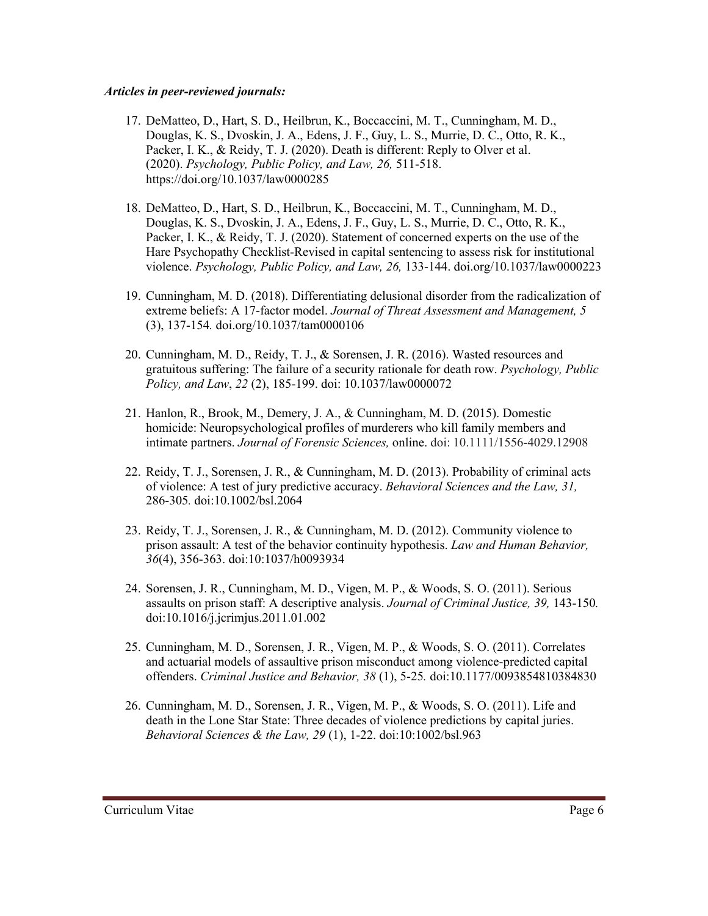#### *Articles in peer-reviewed journals:*

- 17. DeMatteo, D., Hart, S. D., Heilbrun, K., Boccaccini, M. T., Cunningham, M. D., Douglas, K. S., Dvoskin, J. A., Edens, J. F., Guy, L. S., Murrie, D. C., Otto, R. K., Packer, I. K., & Reidy, T. J. (2020). Death is different: Reply to Olver et al. (2020). *Psychology, Public Policy, and Law, 26,* 511-518. https://doi.org/10.1037/law0000285
- 18. DeMatteo, D., Hart, S. D., Heilbrun, K., Boccaccini, M. T., Cunningham, M. D., Douglas, K. S., Dvoskin, J. A., Edens, J. F., Guy, L. S., Murrie, D. C., Otto, R. K., Packer, I. K., & Reidy, T. J. (2020). Statement of concerned experts on the use of the Hare Psychopathy Checklist-Revised in capital sentencing to assess risk for institutional violence. *Psychology, Public Policy, and Law, 26,* 133-144. doi.org/10.1037/law0000223
- 19. Cunningham, M. D. (2018). Differentiating delusional disorder from the radicalization of extreme beliefs: A 17-factor model. *Journal of Threat Assessment and Management, 5*  (3), 137-154*.* doi.org/10.1037/tam0000106
- 20. Cunningham, M. D., Reidy, T. J., & Sorensen, J. R. (2016). Wasted resources and gratuitous suffering: The failure of a security rationale for death row. *Psychology, Public Policy, and Law*, *22* (2), 185-199. doi: 10.1037/law0000072
- 21. Hanlon, R., Brook, M., Demery, J. A., & Cunningham, M. D. (2015). Domestic homicide: Neuropsychological profiles of murderers who kill family members and intimate partners. *Journal of Forensic Sciences,* online. doi: 10.1111/1556-4029.12908
- 22. Reidy, T. J., Sorensen, J. R., & Cunningham, M. D. (2013). Probability of criminal acts of violence: A test of jury predictive accuracy. *Behavioral Sciences and the Law, 31,* 286-305*.* doi:10.1002/bsl.2064
- 23. Reidy, T. J., Sorensen, J. R., & Cunningham, M. D. (2012). Community violence to prison assault: A test of the behavior continuity hypothesis. *Law and Human Behavior, 36*(4), 356-363. doi:10:1037/h0093934
- 24. Sorensen, J. R., Cunningham, M. D., Vigen, M. P., & Woods, S. O. (2011). Serious assaults on prison staff: A descriptive analysis. *Journal of Criminal Justice, 39,* 143-150*.* doi:10.1016/j.jcrimjus.2011.01.002
- 25. Cunningham, M. D., Sorensen, J. R., Vigen, M. P., & Woods, S. O. (2011). Correlates and actuarial models of assaultive prison misconduct among violence-predicted capital offenders. *Criminal Justice and Behavior, 38* (1), 5-25*.* doi:10.1177/0093854810384830
- 26. Cunningham, M. D., Sorensen, J. R., Vigen, M. P., & Woods, S. O. (2011). Life and death in the Lone Star State: Three decades of violence predictions by capital juries. *Behavioral Sciences & the Law, 29* (1), 1-22. doi:10:1002/bsl.963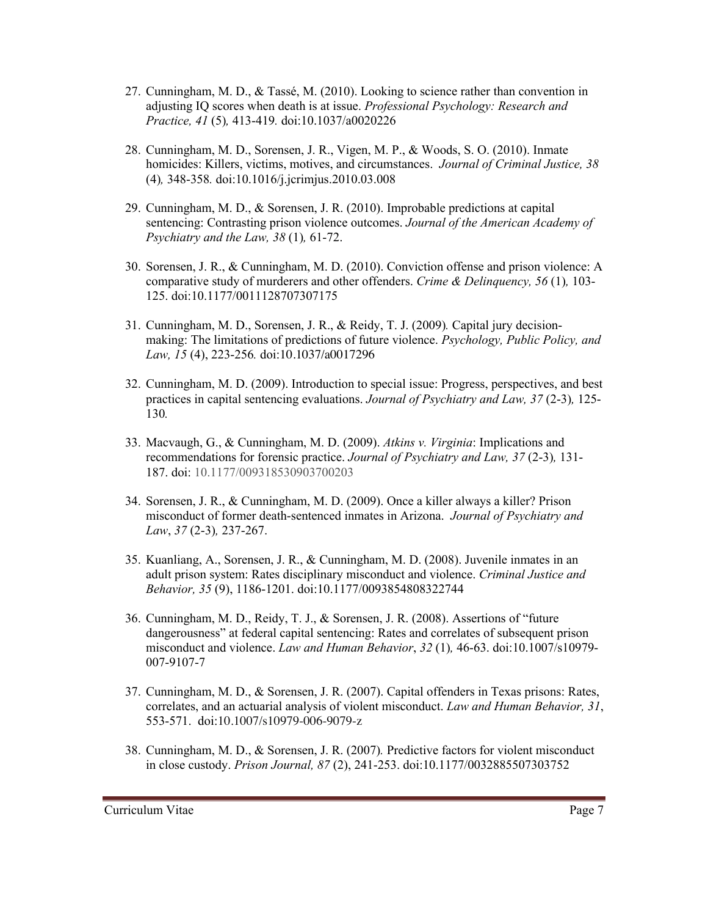- 27. Cunningham, M. D., & Tassé, M. (2010). Looking to science rather than convention in adjusting IQ scores when death is at issue. *Professional Psychology: Research and Practice, 41* (5)*,* 413-419*.* doi:10.1037/a0020226
- 28. Cunningham, M. D., Sorensen, J. R., Vigen, M. P., & Woods, S. O. (2010). Inmate homicides: Killers, victims, motives, and circumstances. *Journal of Criminal Justice, 38*  (4)*,* 348-358*.* doi:10.1016/j.jcrimjus.2010.03.008
- 29. Cunningham, M. D., & Sorensen, J. R. (2010). Improbable predictions at capital sentencing: Contrasting prison violence outcomes. *Journal of the American Academy of Psychiatry and the Law, 38* (1)*,* 61-72.
- 30. Sorensen, J. R., & Cunningham, M. D. (2010). Conviction offense and prison violence: A comparative study of murderers and other offenders. *Crime & Delinquency, 56* (1)*,* 103- 125. doi:10.1177/0011128707307175
- 31. Cunningham, M. D., Sorensen, J. R., & Reidy, T. J. (2009)*.* Capital jury decisionmaking: The limitations of predictions of future violence. *Psychology, Public Policy, and Law, 15* (4), 223-256*.* doi:10.1037/a0017296
- 32. Cunningham, M. D. (2009). Introduction to special issue: Progress, perspectives, and best practices in capital sentencing evaluations. *Journal of Psychiatry and Law, 37* (2-3)*,* 125- 130*.*
- 33. Macvaugh, G., & Cunningham, M. D. (2009). *Atkins v. Virginia*: Implications and recommendations for forensic practice. *Journal of Psychiatry and Law, 37* (2-3)*,* 131- 187. doi: 10.1177/009318530903700203
- 34. Sorensen, J. R., & Cunningham, M. D. (2009). Once a killer always a killer? Prison misconduct of former death-sentenced inmates in Arizona. *Journal of Psychiatry and Law*, *37* (2-3)*,* 237-267.
- 35. Kuanliang, A., Sorensen, J. R., & Cunningham, M. D. (2008). Juvenile inmates in an adult prison system: Rates disciplinary misconduct and violence. *Criminal Justice and Behavior, 35* (9), 1186-1201. doi:10.1177/0093854808322744
- 36. Cunningham, M. D., Reidy, T. J., & Sorensen, J. R. (2008). Assertions of "future dangerousness" at federal capital sentencing: Rates and correlates of subsequent prison misconduct and violence. *Law and Human Behavior*, *32* (1)*,* 46-63. doi:10.1007/s10979- 007-9107-7
- 37. Cunningham, M. D., & Sorensen, J. R. (2007). Capital offenders in Texas prisons: Rates, correlates, and an actuarial analysis of violent misconduct. *Law and Human Behavior, 31*, 553-571. doi:10.1007/s10979-006-9079-z
- 38. Cunningham, M. D., & Sorensen, J. R. (2007)*.* Predictive factors for violent misconduct in close custody. *Prison Journal, 87* (2), 241-253. doi:10.1177/0032885507303752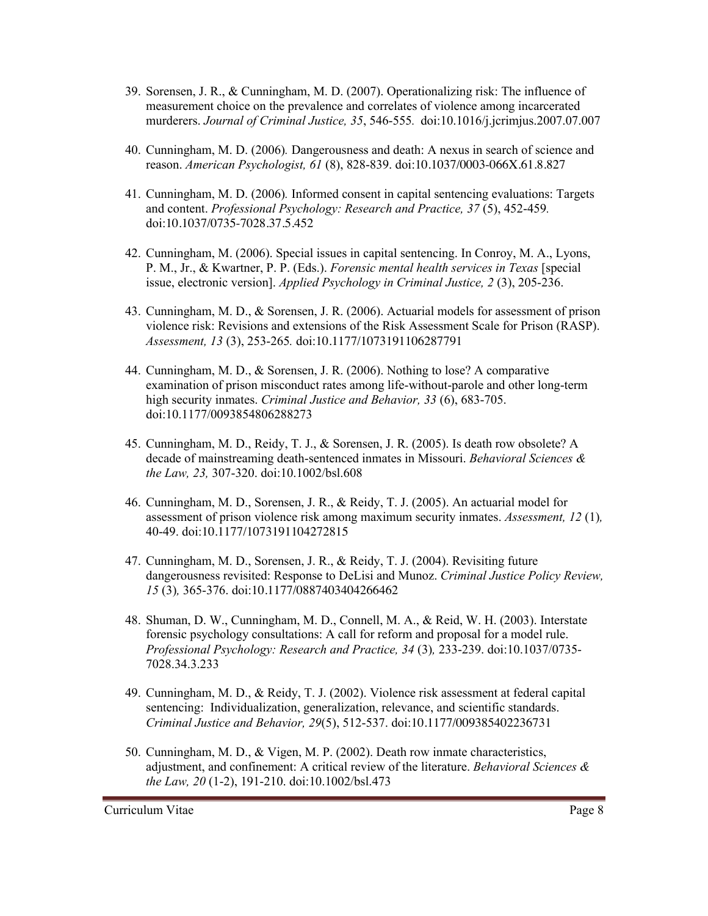- 39. Sorensen, J. R., & Cunningham, M. D. (2007). Operationalizing risk: The influence of measurement choice on the prevalence and correlates of violence among incarcerated murderers. *Journal of Criminal Justice, 35*, 546-555*.* doi:10.1016/j.jcrimjus.2007.07.007
- 40. Cunningham, M. D. (2006)*.* Dangerousness and death: A nexus in search of science and reason. *American Psychologist, 61* (8), 828-839. doi:10.1037/0003-066X.61.8.827
- 41. Cunningham, M. D. (2006)*.* Informed consent in capital sentencing evaluations: Targets and content. *Professional Psychology: Research and Practice, 37* (5), 452-459*.* doi:10.1037/0735-7028.37.5.452
- 42. Cunningham, M. (2006). Special issues in capital sentencing. In Conroy, M. A., Lyons, P. M., Jr., & Kwartner, P. P. (Eds.). *Forensic mental health services in Texas* [special issue, electronic version]. *Applied Psychology in Criminal Justice, 2* (3), 205-236.
- 43. Cunningham, M. D., & Sorensen, J. R. (2006). Actuarial models for assessment of prison violence risk: Revisions and extensions of the Risk Assessment Scale for Prison (RASP). *Assessment, 13* (3), 253-265*.* doi:10.1177/1073191106287791
- 44. Cunningham, M. D., & Sorensen, J. R. (2006). Nothing to lose? A comparative examination of prison misconduct rates among life-without-parole and other long-term high security inmates. *Criminal Justice and Behavior, 33* (6), 683-705. doi:10.1177/0093854806288273
- 45. Cunningham, M. D., Reidy, T. J., & Sorensen, J. R. (2005). Is death row obsolete? A decade of mainstreaming death-sentenced inmates in Missouri. *Behavioral Sciences & the Law, 23,* 307-320. doi:10.1002/bsl.608
- 46. Cunningham, M. D., Sorensen, J. R., & Reidy, T. J. (2005). An actuarial model for assessment of prison violence risk among maximum security inmates. *Assessment, 12* (1)*,*  40-49. doi:10.1177/1073191104272815
- 47. Cunningham, M. D., Sorensen, J. R., & Reidy, T. J. (2004). Revisiting future dangerousness revisited: Response to DeLisi and Munoz. *Criminal Justice Policy Review, 15* (3)*,* 365-376. doi:10.1177/0887403404266462
- 48. Shuman, D. W., Cunningham, M. D., Connell, M. A., & Reid, W. H. (2003). Interstate forensic psychology consultations: A call for reform and proposal for a model rule. *Professional Psychology: Research and Practice, 34* (3)*,* 233-239. doi:10.1037/0735- 7028.34.3.233
- 49. Cunningham, M. D., & Reidy, T. J. (2002). Violence risk assessment at federal capital sentencing: Individualization, generalization, relevance, and scientific standards. *Criminal Justice and Behavior, 29*(5), 512-537. doi:10.1177/009385402236731
- 50. Cunningham, M. D., & Vigen, M. P. (2002). Death row inmate characteristics, adjustment, and confinement: A critical review of the literature. *Behavioral Sciences & the Law, 20* (1-2), 191-210. doi:10.1002/bsl.473

Curriculum Vitae Page 8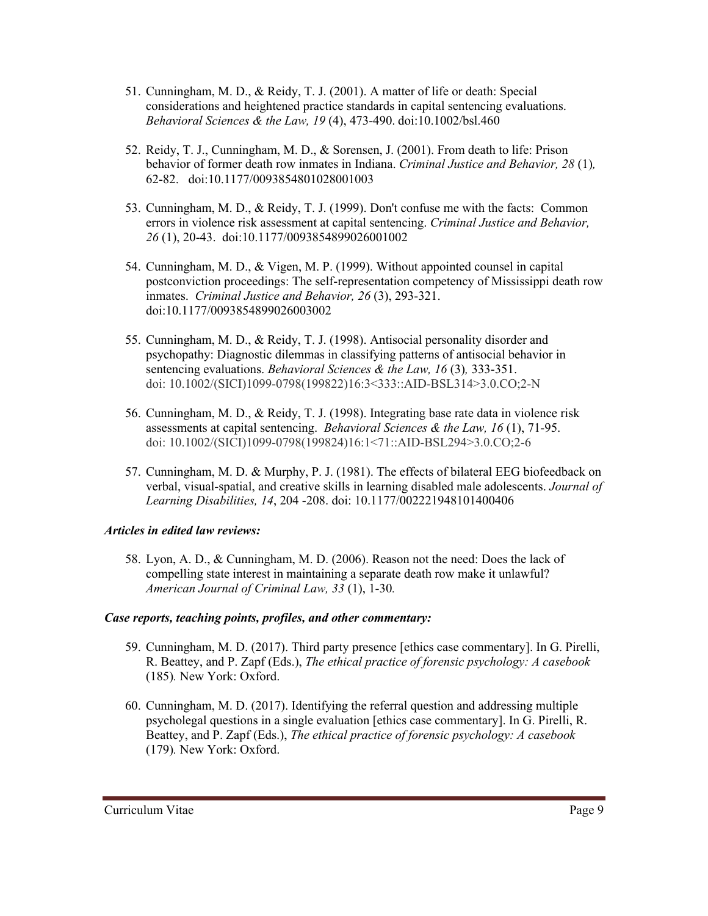- 51. Cunningham, M. D., & Reidy, T. J. (2001). A matter of life or death: Special considerations and heightened practice standards in capital sentencing evaluations. *Behavioral Sciences & the Law, 19* (4), 473-490. doi:10.1002/bsl.460
- 52. Reidy, T. J., Cunningham, M. D., & Sorensen, J. (2001). From death to life: Prison behavior of former death row inmates in Indiana. *Criminal Justice and Behavior, 28* (1)*,* 62-82. doi:10.1177/0093854801028001003
- 53. Cunningham, M. D., & Reidy, T. J. (1999). Don't confuse me with the facts: Common errors in violence risk assessment at capital sentencing. *Criminal Justice and Behavior, 26* (1), 20-43. doi:10.1177/0093854899026001002
- 54. Cunningham, M. D., & Vigen, M. P. (1999). Without appointed counsel in capital postconviction proceedings: The self-representation competency of Mississippi death row inmates. *Criminal Justice and Behavior, 26* (3), 293-321. doi:10.1177/0093854899026003002
- 55. Cunningham, M. D., & Reidy, T. J. (1998). Antisocial personality disorder and psychopathy: Diagnostic dilemmas in classifying patterns of antisocial behavior in sentencing evaluations. *Behavioral Sciences & the Law, 16* (3)*,* 333-351. doi: 10.1002/(SICI)1099-0798(199822)16:3<333::AID-BSL314>3.0.CO;2-N
- 56. Cunningham, M. D., & Reidy, T. J. (1998). Integrating base rate data in violence risk assessments at capital sentencing. *Behavioral Sciences & the Law, 16* (1), 71-95. doi: 10.1002/(SICI)1099-0798(199824)16:1<71::AID-BSL294>3.0.CO;2-6
- 57. Cunningham, M. D. & Murphy, P. J. (1981). The effects of bilateral EEG biofeedback on verbal, visual-spatial, and creative skills in learning disabled male adolescents. *Journal of Learning Disabilities, 14*, 204 -208. doi: 10.1177/002221948101400406

# *Articles in edited law reviews:*

58. Lyon, A. D., & Cunningham, M. D. (2006). Reason not the need: Does the lack of compelling state interest in maintaining a separate death row make it unlawful? *American Journal of Criminal Law, 33* (1), 1-30*.*

# *Case reports, teaching points, profiles, and other commentary:*

- 59. Cunningham, M. D. (2017). Third party presence [ethics case commentary]. In G. Pirelli, R. Beattey, and P. Zapf (Eds.), *The ethical practice of forensic psychology: A casebook* (185)*.* New York: Oxford.
- 60. Cunningham, M. D. (2017). Identifying the referral question and addressing multiple psycholegal questions in a single evaluation [ethics case commentary]. In G. Pirelli, R. Beattey, and P. Zapf (Eds.), *The ethical practice of forensic psychology: A casebook* (179)*.* New York: Oxford.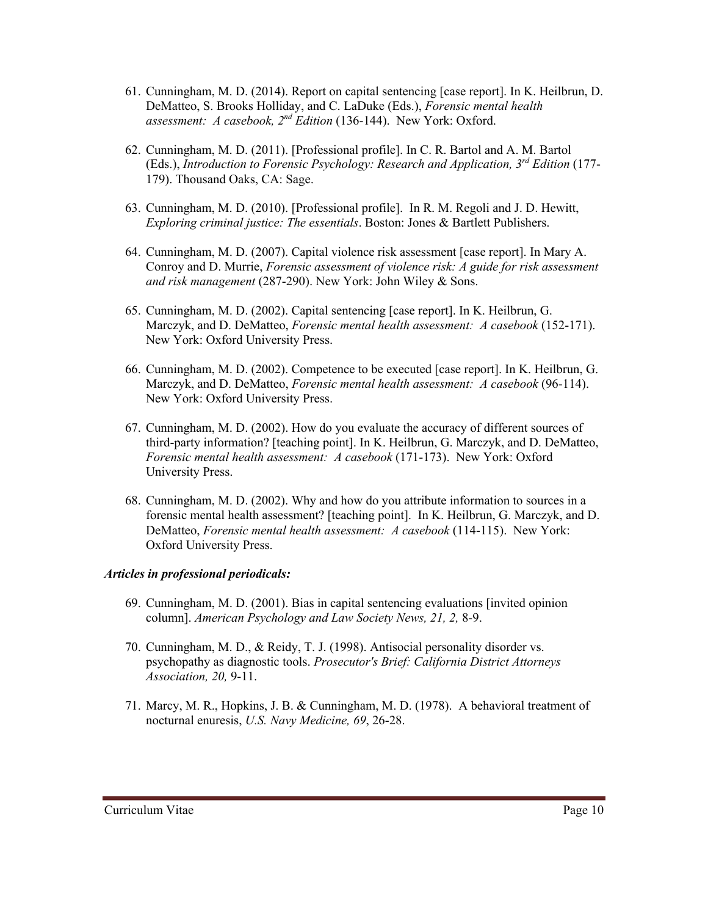- 61. Cunningham, M. D. (2014). Report on capital sentencing [case report]. In K. Heilbrun, D. DeMatteo, S. Brooks Holliday, and C. LaDuke (Eds.), *Forensic mental health assessment: A casebook, 2nd Edition* (136-144). New York: Oxford.
- 62. Cunningham, M. D. (2011). [Professional profile]. In C. R. Bartol and A. M. Bartol (Eds.), *Introduction to Forensic Psychology: Research and Application, 3rd Edition* (177- 179). Thousand Oaks, CA: Sage.
- 63. Cunningham, M. D. (2010). [Professional profile]. In R. M. Regoli and J. D. Hewitt, *Exploring criminal justice: The essentials*. Boston: Jones & Bartlett Publishers.
- 64. Cunningham, M. D. (2007). Capital violence risk assessment [case report]. In Mary A. Conroy and D. Murrie, *Forensic assessment of violence risk: A guide for risk assessment and risk management* (287-290). New York: John Wiley & Sons.
- 65. Cunningham, M. D. (2002). Capital sentencing [case report]. In K. Heilbrun, G. Marczyk, and D. DeMatteo, *Forensic mental health assessment: A casebook* (152-171). New York: Oxford University Press.
- 66. Cunningham, M. D. (2002). Competence to be executed [case report]. In K. Heilbrun, G. Marczyk, and D. DeMatteo, *Forensic mental health assessment: A casebook* (96-114). New York: Oxford University Press.
- 67. Cunningham, M. D. (2002). How do you evaluate the accuracy of different sources of third-party information? [teaching point]. In K. Heilbrun, G. Marczyk, and D. DeMatteo, *Forensic mental health assessment: A casebook* (171-173). New York: Oxford University Press.
- 68. Cunningham, M. D. (2002). Why and how do you attribute information to sources in a forensic mental health assessment? [teaching point]. In K. Heilbrun, G. Marczyk, and D. DeMatteo, *Forensic mental health assessment: A casebook* (114-115). New York: Oxford University Press.

# *Articles in professional periodicals:*

- 69. Cunningham, M. D. (2001). Bias in capital sentencing evaluations [invited opinion column]. *American Psychology and Law Society News, 21, 2,* 8-9.
- 70. Cunningham, M. D., & Reidy, T. J. (1998). Antisocial personality disorder vs. psychopathy as diagnostic tools. *Prosecutor's Brief: California District Attorneys Association, 20,* 9-11.
- 71. Marcy, M. R., Hopkins, J. B. & Cunningham, M. D. (1978). A behavioral treatment of nocturnal enuresis, *U.S. Navy Medicine, 69*, 26-28.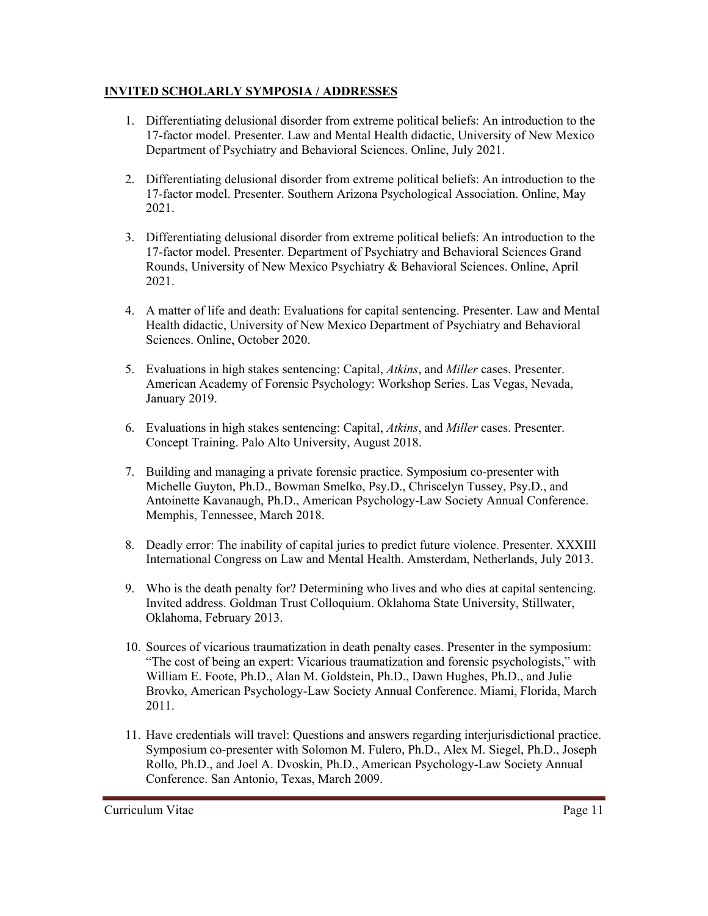# **INVITED SCHOLARLY SYMPOSIA / ADDRESSES**

- 1. Differentiating delusional disorder from extreme political beliefs: An introduction to the 17-factor model. Presenter. Law and Mental Health didactic, University of New Mexico Department of Psychiatry and Behavioral Sciences. Online, July 2021.
- 2. Differentiating delusional disorder from extreme political beliefs: An introduction to the 17-factor model. Presenter. Southern Arizona Psychological Association. Online, May 2021.
- 3. Differentiating delusional disorder from extreme political beliefs: An introduction to the 17-factor model. Presenter. Department of Psychiatry and Behavioral Sciences Grand Rounds, University of New Mexico Psychiatry & Behavioral Sciences. Online, April 2021.
- 4. A matter of life and death: Evaluations for capital sentencing. Presenter. Law and Mental Health didactic, University of New Mexico Department of Psychiatry and Behavioral Sciences. Online, October 2020.
- 5. Evaluations in high stakes sentencing: Capital, *Atkins*, and *Miller* cases. Presenter. American Academy of Forensic Psychology: Workshop Series. Las Vegas, Nevada, January 2019.
- 6. Evaluations in high stakes sentencing: Capital, *Atkins*, and *Miller* cases. Presenter. Concept Training. Palo Alto University, August 2018.
- 7. Building and managing a private forensic practice. Symposium co-presenter with Michelle Guyton, Ph.D., Bowman Smelko, Psy.D., Chriscelyn Tussey, Psy.D., and Antoinette Kavanaugh, Ph.D., American Psychology-Law Society Annual Conference. Memphis, Tennessee, March 2018.
- 8. Deadly error: The inability of capital juries to predict future violence. Presenter. XXXIII International Congress on Law and Mental Health. Amsterdam, Netherlands, July 2013.
- 9. Who is the death penalty for? Determining who lives and who dies at capital sentencing. Invited address. Goldman Trust Colloquium. Oklahoma State University, Stillwater, Oklahoma, February 2013.
- 10. Sources of vicarious traumatization in death penalty cases. Presenter in the symposium: "The cost of being an expert: Vicarious traumatization and forensic psychologists," with William E. Foote, Ph.D., Alan M. Goldstein, Ph.D., Dawn Hughes, Ph.D., and Julie Brovko, American Psychology-Law Society Annual Conference. Miami, Florida, March 2011.
- 11. Have credentials will travel: Questions and answers regarding interjurisdictional practice. Symposium co-presenter with Solomon M. Fulero, Ph.D., Alex M. Siegel, Ph.D., Joseph Rollo, Ph.D., and Joel A. Dvoskin, Ph.D., American Psychology-Law Society Annual Conference. San Antonio, Texas, March 2009.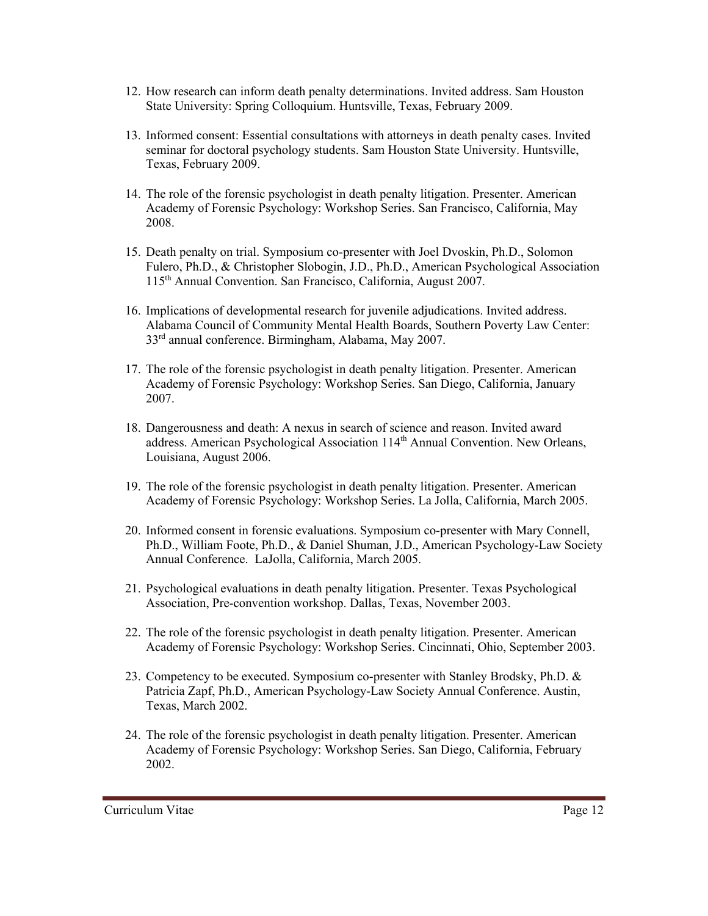- 12. How research can inform death penalty determinations. Invited address. Sam Houston State University: Spring Colloquium. Huntsville, Texas, February 2009.
- 13. Informed consent: Essential consultations with attorneys in death penalty cases. Invited seminar for doctoral psychology students. Sam Houston State University. Huntsville, Texas, February 2009.
- 14. The role of the forensic psychologist in death penalty litigation. Presenter. American Academy of Forensic Psychology: Workshop Series. San Francisco, California, May 2008.
- 15. Death penalty on trial. Symposium co-presenter with Joel Dvoskin, Ph.D., Solomon Fulero, Ph.D., & Christopher Slobogin, J.D., Ph.D., American Psychological Association 115th Annual Convention. San Francisco, California, August 2007.
- 16. Implications of developmental research for juvenile adjudications. Invited address. Alabama Council of Community Mental Health Boards, Southern Poverty Law Center: 33rd annual conference. Birmingham, Alabama, May 2007.
- 17. The role of the forensic psychologist in death penalty litigation. Presenter. American Academy of Forensic Psychology: Workshop Series. San Diego, California, January 2007.
- 18. Dangerousness and death: A nexus in search of science and reason. Invited award address. American Psychological Association 114<sup>th</sup> Annual Convention. New Orleans, Louisiana, August 2006.
- 19. The role of the forensic psychologist in death penalty litigation. Presenter. American Academy of Forensic Psychology: Workshop Series. La Jolla, California, March 2005.
- 20. Informed consent in forensic evaluations. Symposium co-presenter with Mary Connell, Ph.D., William Foote, Ph.D., & Daniel Shuman, J.D., American Psychology-Law Society Annual Conference. LaJolla, California, March 2005.
- 21. Psychological evaluations in death penalty litigation. Presenter. Texas Psychological Association, Pre-convention workshop. Dallas, Texas, November 2003.
- 22. The role of the forensic psychologist in death penalty litigation. Presenter. American Academy of Forensic Psychology: Workshop Series. Cincinnati, Ohio, September 2003.
- 23. Competency to be executed. Symposium co-presenter with Stanley Brodsky, Ph.D. & Patricia Zapf, Ph.D., American Psychology-Law Society Annual Conference. Austin, Texas, March 2002.
- 24. The role of the forensic psychologist in death penalty litigation. Presenter. American Academy of Forensic Psychology: Workshop Series. San Diego, California, February 2002.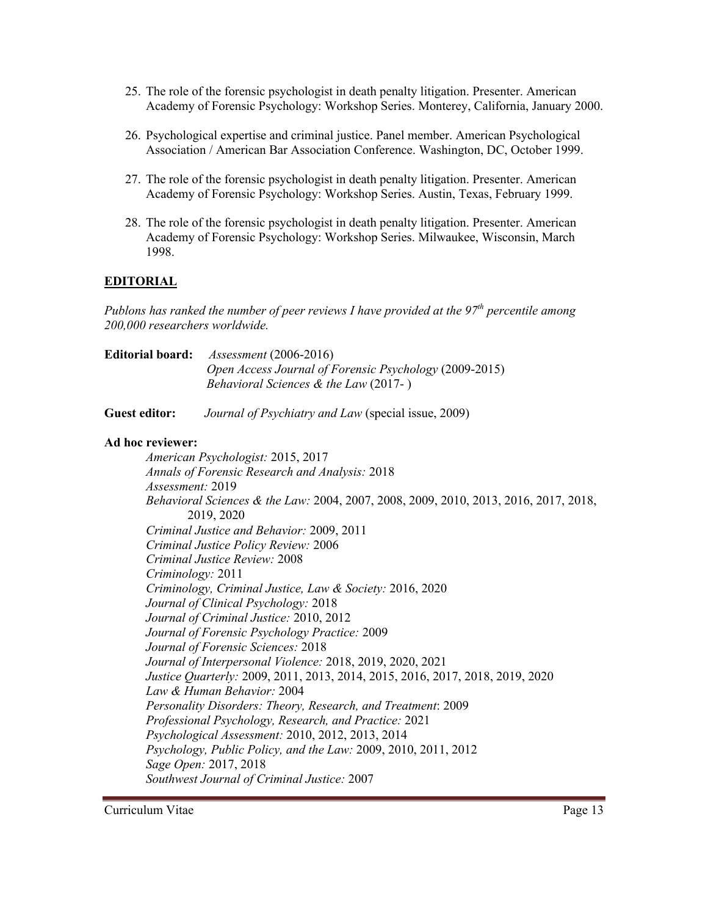- 25. The role of the forensic psychologist in death penalty litigation. Presenter. American Academy of Forensic Psychology: Workshop Series. Monterey, California, January 2000.
- 26. Psychological expertise and criminal justice. Panel member. American Psychological Association / American Bar Association Conference. Washington, DC, October 1999.
- 27. The role of the forensic psychologist in death penalty litigation. Presenter. American Academy of Forensic Psychology: Workshop Series. Austin, Texas, February 1999.
- 28. The role of the forensic psychologist in death penalty litigation. Presenter. American Academy of Forensic Psychology: Workshop Series. Milwaukee, Wisconsin, March 1998.

# **EDITORIAL**

*Publons has ranked the number of peer reviews I have provided at the 97th percentile among 200,000 researchers worldwide.*

| <b>Editorial board:</b> | $Assessment (2006-2016)$                               |
|-------------------------|--------------------------------------------------------|
|                         | Open Access Journal of Forensic Psychology (2009-2015) |
|                         | <i>Behavioral Sciences &amp; the Law</i> $(2017 - )$   |
|                         |                                                        |

**Guest editor:** *Journal of Psychiatry and Law* (special issue, 2009)

### **Ad hoc reviewer:**

*American Psychologist:* 2015, 2017 *Annals of Forensic Research and Analysis:* 2018 *Assessment:* 2019 *Behavioral Sciences & the Law:* 2004, 2007, 2008, 2009, 2010, 2013, 2016, 2017, 2018, 2019, 2020 *Criminal Justice and Behavior:* 2009, 2011 *Criminal Justice Policy Review:* 2006 *Criminal Justice Review:* 2008 *Criminology:* 2011 *Criminology, Criminal Justice, Law & Society:* 2016, 2020 *Journal of Clinical Psychology:* 2018 *Journal of Criminal Justice:* 2010, 2012 *Journal of Forensic Psychology Practice:* 2009 *Journal of Forensic Sciences:* 2018 *Journal of Interpersonal Violence:* 2018, 2019, 2020, 2021 *Justice Quarterly:* 2009, 2011, 2013, 2014, 2015, 2016, 2017, 2018, 2019, 2020 *Law & Human Behavior:* 2004 *Personality Disorders: Theory, Research, and Treatment*: 2009 *Professional Psychology, Research, and Practice:* 2021 *Psychological Assessment:* 2010, 2012, 2013, 2014 *Psychology, Public Policy, and the Law:* 2009, 2010, 2011, 2012 *Sage Open:* 2017, 2018 *Southwest Journal of Criminal Justice:* 2007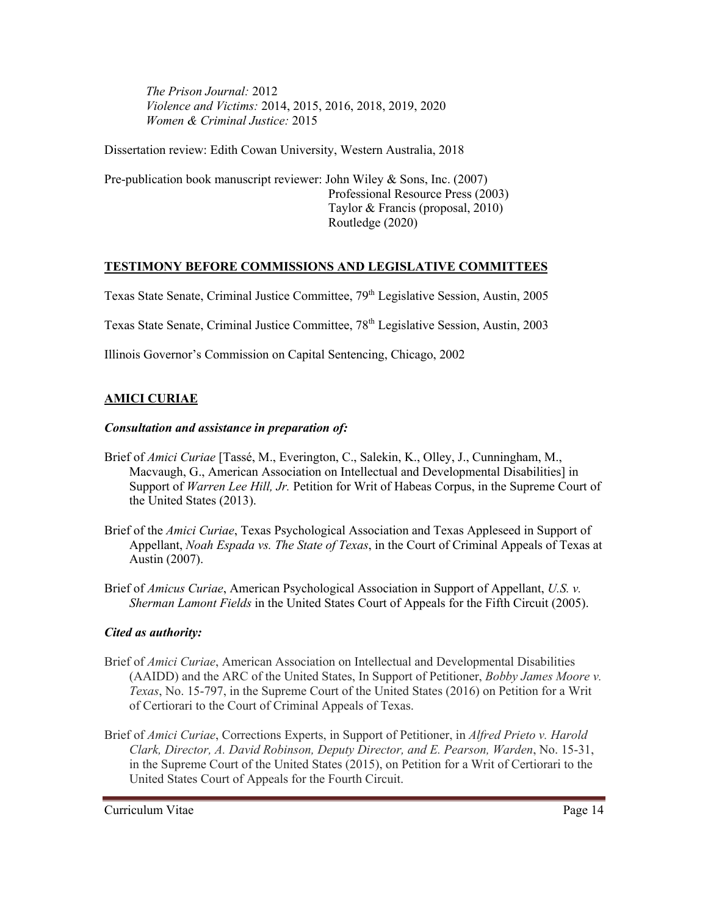*The Prison Journal:* 2012 *Violence and Victims:* 2014, 2015, 2016, 2018, 2019, 2020 *Women & Criminal Justice:* 2015

Dissertation review: Edith Cowan University, Western Australia, 2018

Pre-publication book manuscript reviewer: John Wiley & Sons, Inc. (2007) Professional Resource Press (2003) Taylor & Francis (proposal, 2010) Routledge (2020)

# **TESTIMONY BEFORE COMMISSIONS AND LEGISLATIVE COMMITTEES**

Texas State Senate, Criminal Justice Committee, 79<sup>th</sup> Legislative Session, Austin, 2005

Texas State Senate, Criminal Justice Committee, 78<sup>th</sup> Legislative Session, Austin, 2003

Illinois Governor's Commission on Capital Sentencing, Chicago, 2002

# **AMICI CURIAE**

#### *Consultation and assistance in preparation of:*

- Brief of *Amici Curiae* [Tassé, M., Everington, C., Salekin, K., Olley, J., Cunningham, M., Macvaugh, G., American Association on Intellectual and Developmental Disabilities] in Support of *Warren Lee Hill, Jr.* Petition for Writ of Habeas Corpus, in the Supreme Court of the United States (2013).
- Brief of the *Amici Curiae*, Texas Psychological Association and Texas Appleseed in Support of Appellant, *Noah Espada vs. The State of Texas*, in the Court of Criminal Appeals of Texas at Austin (2007).
- Brief of *Amicus Curiae*, American Psychological Association in Support of Appellant, *U.S. v. Sherman Lamont Fields* in the United States Court of Appeals for the Fifth Circuit (2005).

# *Cited as authority:*

- Brief of *Amici Curiae*, American Association on Intellectual and Developmental Disabilities (AAIDD) and the ARC of the United States, In Support of Petitioner, *Bobby James Moore v. Texas*, No. 15-797, in the Supreme Court of the United States (2016) on Petition for a Writ of Certiorari to the Court of Criminal Appeals of Texas.
- Brief of *Amici Curiae*, Corrections Experts, in Support of Petitioner, in *Alfred Prieto v. Harold Clark, Director, A. David Robinson, Deputy Director, and E. Pearson, Warden*, No. 15-31, in the Supreme Court of the United States (2015), on Petition for a Writ of Certiorari to the United States Court of Appeals for the Fourth Circuit.

Curriculum Vitae Page 14